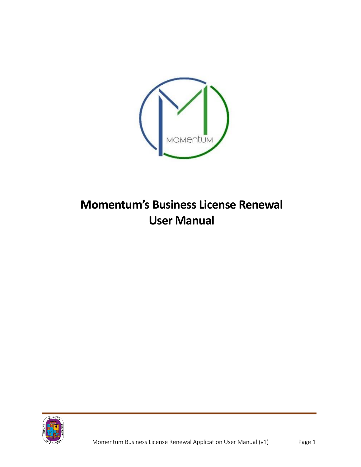

## **Momentum's Business License Renewal User Manual**

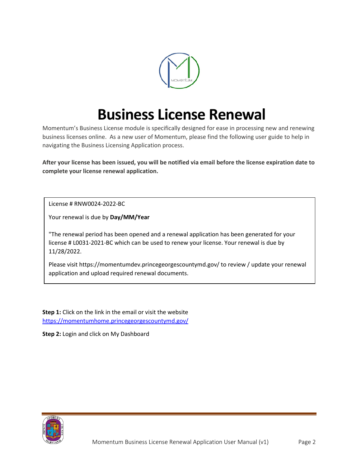

## **Business License Renewal**

Momentum's Business License module is specifically designed for ease in processing new and renewing business licenses online. As a new user of Momentum, please find the following user guide to help in navigating the Business Licensing Application process.

**After your license has been issued, you will be notified via email before the license expiration date to complete your license renewal application.**

License # RNW0024-2022-BC

Your renewal is due by **Day/MM/Year**

"The renewal period has been opened and a renewal application has been generated for your license # L0031-2021-BC which can be used to renew your license. Your renewal is due by 11/28/2022.

Please visit https://momentumdev.princegeorgescountymd.gov/ to review / update your renewal application and upload required renewal documents.

**Step 1:** Click on the link in the email or visit the website <https://momentumhome.princegeorgescountymd.gov/>

**Step 2:** Login and click on My Dashboard

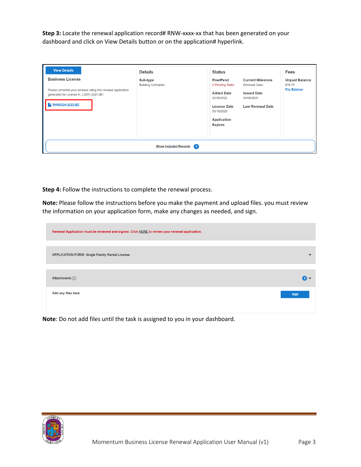**Step 3:** Locate the renewal application record# RNW-xxxx-xx that has been generated on your dashboard and click on View Details button or on the application# hyperlink.

| <b>View Details</b>                                                                                                                                  | <b>Details</b>                         | <b>Status</b>                                                                                                                                                                                                                                                  | <b>Fees</b>                                            |
|------------------------------------------------------------------------------------------------------------------------------------------------------|----------------------------------------|----------------------------------------------------------------------------------------------------------------------------------------------------------------------------------------------------------------------------------------------------------------|--------------------------------------------------------|
| <b>Business License</b><br>Please complete your renewal using this renewal application<br>generated for License #:- L0031-2021-BC<br>RNW0024-2022-BC | Sub-type<br><b>Building Contractor</b> | <b>RnwlPend</b><br><b>Current Milestone</b><br>2 Pending Tasks<br>Renewal Open<br><b>Added Date</b><br><b>Issued Date</b><br>02/08/2022<br>04/06/2020<br><b>License Date</b><br><b>Last Renewal Date</b><br>03/16/2020<br><b>Application</b><br><b>Expires</b> | <b>Unpaid Balance</b><br>\$78.75<br><b>Pay Balance</b> |
|                                                                                                                                                      | Show Included Records 2                |                                                                                                                                                                                                                                                                |                                                        |

**Step 4:** Follow the instructions to complete the renewal process.

**Note:** Please follow the instructions before you make the payment and upload files. you must review the information on your application form, make any changes as needed, and sign.

| Renewal Application must be reviewed and signed. Click HERE to review your renewal application. |              |
|-------------------------------------------------------------------------------------------------|--------------|
|                                                                                                 |              |
| <b>APPLICATION FORM: Single Family Rental License</b>                                           | $\checkmark$ |
|                                                                                                 |              |
| Attachments $(i)$                                                                               | $\bullet$    |
| Add any files here.                                                                             | Add          |
|                                                                                                 |              |

**Note**: Do not add files until the task is assigned to you in your dashboard.

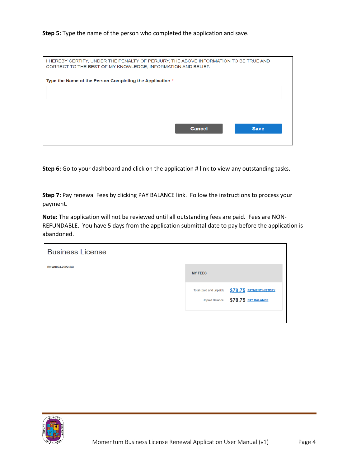## **Step 5:** Type the name of the person who completed the application and save.

| I HEREBY CERTIFY, UNDER THE PENALTY OF PERJURY, THE ABOVE INFORMATION TO BE TRUE AND<br>CORRECT TO THE BEST OF MY KNOWLEDGE, INFORMATION AND BELIEF. |
|------------------------------------------------------------------------------------------------------------------------------------------------------|
| Type the Name of the Person Completing the Application *                                                                                             |
|                                                                                                                                                      |
|                                                                                                                                                      |
| <b>Cancel</b><br><b>Save</b>                                                                                                                         |

**Step 6:** Go to your dashboard and click on the application # link to view any outstanding tasks.

**Step 7:** Pay renewal Fees by clicking PAY BALANCE link. Follow the instructions to process your payment.

**Note:** The application will not be reviewed until all outstanding fees are paid. Fees are NON-REFUNDABLE. You have 5 days from the application submittal date to pay before the application is abandoned.

| <b>Business License</b> |                         |                                                               |
|-------------------------|-------------------------|---------------------------------------------------------------|
| RNW0024-2022-BC         | <b>MY FEES</b>          |                                                               |
|                         | Total (paid and unpaid) | \$78.75 PAYMENT HISTORY<br>Unpaid Balance \$78.75 PAY BALANCE |
|                         |                         |                                                               |

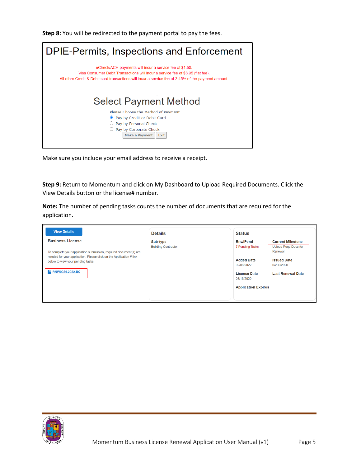**Step 8:** You will be redirected to the payment portal to pay the fees.



Make sure you include your email address to receive a receipt.

**Step 9:** Return to Momentum and click on My Dashboard to Upload Required Documents. Click the View Details button or the license# number.

**Note:** The number of pending tasks counts the number of documents that are required for the application.

| <b>View Details</b>                                                                                      | <b>Details</b>                         | <b>Status</b>                      |                                                                    |
|----------------------------------------------------------------------------------------------------------|----------------------------------------|------------------------------------|--------------------------------------------------------------------|
| <b>Business License</b><br>To complete your application submission, required document(s) are             | Sub-type<br><b>Building Contractor</b> | <b>RnwlPend</b><br>7 Pending Tasks | <b>Current Milestone</b><br><b>Upload Regd Docs for</b><br>Renewal |
| needed for your application. Please click on the Application # link<br>below to view your pending tasks. |                                        | <b>Added Date</b><br>02/08/2022    | <b>Issued Date</b><br>04/06/2020                                   |
| RNW0024-2022-BC<br>r.                                                                                    |                                        | <b>License Date</b><br>03/16/2020  | <b>Last Renewal Date</b>                                           |
|                                                                                                          |                                        | <b>Application Expires</b>         |                                                                    |
|                                                                                                          |                                        |                                    |                                                                    |

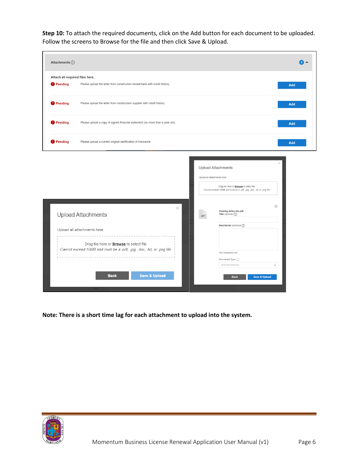**Step 10:** To attach the required documents, click on the Add button for each document to be uploaded. Follow the screens to Browse for the file and then click Save & Upload.

| Attach all required files here.                                                                                           |      |                                                                                                                                       |                                                                                                                                     |
|---------------------------------------------------------------------------------------------------------------------------|------|---------------------------------------------------------------------------------------------------------------------------------------|-------------------------------------------------------------------------------------------------------------------------------------|
| Please upload the letter from construction lender/bank with credit history.                                               |      |                                                                                                                                       | <b>Add</b>                                                                                                                          |
| Please upload the letter from construction supplier with credit history.                                                  |      |                                                                                                                                       | Add                                                                                                                                 |
| Please upload a copy of signed financial statement (no more than a year old).                                             |      |                                                                                                                                       | Add                                                                                                                                 |
| Please upload a current original certification of insurance.                                                              |      |                                                                                                                                       | Add                                                                                                                                 |
| ×<br><b>Upload Attachments</b><br>Upload all attachments here.                                                            | .pdf | Drag file here or <b>Browse</b> to select file.<br>Housing policy doc.pdf<br>Title (optional) $\bigcap$<br>Description (optional) (1) | $\odot$                                                                                                                             |
| Drag file here or <b>Browse</b> to select file.<br>Cannot exceed 10MB and must be a .pdf, .jpg, .doc, .txt, or .png file. |      | 300 characters left<br>Document Type (i)<br>GOODSTANDING                                                                              | $\checkmark$                                                                                                                        |
|                                                                                                                           |      |                                                                                                                                       | <b>Upload Attachments</b><br>Upload all attachments here.<br>Cannot exceed 10MB and must be a .pdf, .jpg, .doc, .btt, or .png file. |

**Note: There is a short time lag for each attachment to upload into the system.**